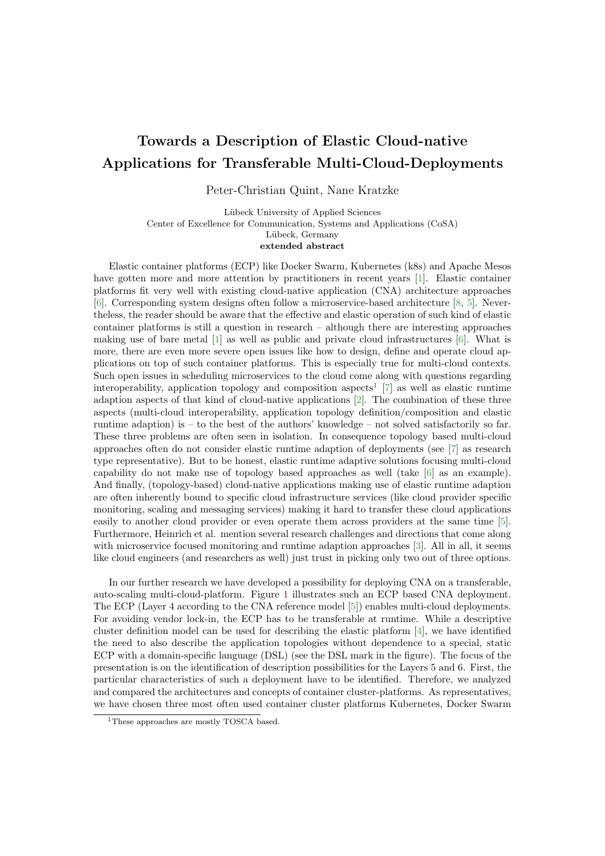## Towards a Description of Elastic Cloud-native Applications for Transferable Multi-Cloud-Deployments

Peter-Christian Quint, Nane Kratzke

Lübeck University of Applied Sciences Center of Excellence for Communication, Systems and Applications (CoSA) Lübeck, Germany extended abstract

Elastic container platforms (ECP) like Docker Swarm, Kubernetes (k8s) and Apache Mesos have gotten more and more attention by practitioners in recent years [\[1\]](#page-1-0). Elastic container platforms fit very well with existing cloud-native application (CNA) architecture approaches [\[6\]](#page-1-1). Corresponding system designs often follow a microservice-based architecture [\[8,](#page-1-2) [5\]](#page-1-3). Nevertheless, the reader should be aware that the effective and elastic operation of such kind of elastic container platforms is still a question in research – although there are interesting approaches making use of bare metal [\[1\]](#page-1-0) as well as public and private cloud infrastructures [\[6\]](#page-1-1). What is more, there are even more severe open issues like how to design, define and operate cloud applications on top of such container platforms. This is especially true for multi-cloud contexts. Such open issues in scheduling microservices to the cloud come along with questions regarding interoperability, application topology and composition aspects<sup>[1](#page-0-0)</sup> [\[7\]](#page-1-4) as well as elastic runtime adaption aspects of that kind of cloud-native applications [\[2\]](#page-1-5). The combination of these three aspects (multi-cloud interoperability, application topology definition/composition and elastic runtime adaption) is – to the best of the authors' knowledge – not solved satisfactorily so far. These three problems are often seen in isolation. In consequence topology based multi-cloud approaches often do not consider elastic runtime adaption of deployments (see [\[7\]](#page-1-4) as research type representative). But to be honest, elastic runtime adaptive solutions focusing multi-cloud capability do not make use of topology based approaches as well (take [\[6\]](#page-1-1) as an example). And finally, (topology-based) cloud-native applications making use of elastic runtime adaption are often inherently bound to specific cloud infrastructure services (like cloud provider specific monitoring, scaling and messaging services) making it hard to transfer these cloud applications easily to another cloud provider or even operate them across providers at the same time [\[5\]](#page-1-3). Furthermore, Heinrich et al. mention several research challenges and directions that come along with microservice focused monitoring and runtime adaption approaches [\[3\]](#page-1-6). All in all, it seems like cloud engineers (and researchers as well) just trust in picking only two out of three options.

In our further research we have developed a possibility for deploying CNA on a transferable, auto-scaling multi-cloud-platform. Figure [1](#page-1-7) illustrates such an ECP based CNA deployment. The ECP (Layer 4 according to the CNA reference model [\[5\]](#page-1-3)) enables multi-cloud deployments. For avoiding vendor lock-in, the ECP has to be transferable at runtime. While a descriptive cluster definition model can be used for describing the elastic platform [\[4\]](#page-1-8), we have identified the need to also describe the application topologies without dependence to a special, static ECP with a domain-specific language (DSL) (see the DSL mark in the figure). The focus of the presentation is on the identification of description possibilities for the Layers 5 and 6. First, the particular characteristics of such a deployment have to be identified. Therefore, we analyzed and compared the architectures and concepts of container cluster-platforms. As representatives, we have chosen three most often used container cluster platforms Kubernetes, Docker Swarm

<span id="page-0-0"></span><sup>&</sup>lt;sup>1</sup>These approaches are mostly TOSCA based.